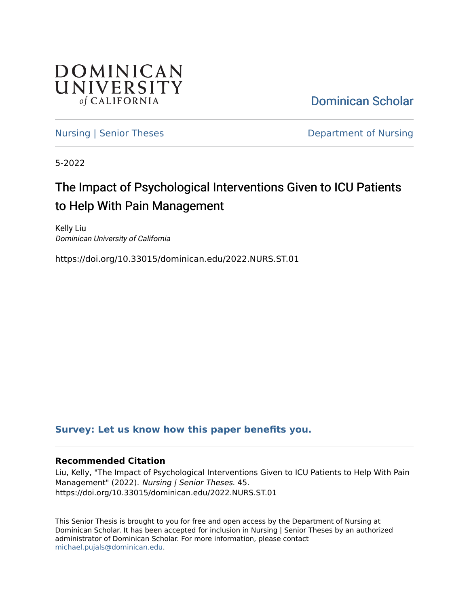

[Dominican Scholar](https://scholar.dominican.edu/) 

[Nursing | Senior Theses](https://scholar.dominican.edu/nursing-senior-theses) **Department of Nursing** 

5-2022

# The Impact of Psychological Interventions Given to ICU Patients to Help With Pain Management

Kelly Liu Dominican University of California

https://doi.org/10.33015/dominican.edu/2022.NURS.ST.01

# **[Survey: Let us know how this paper benefits you.](https://dominican.libwizard.com/dominican-scholar-feedback)**

## **Recommended Citation**

Liu, Kelly, "The Impact of Psychological Interventions Given to ICU Patients to Help With Pain Management" (2022). Nursing | Senior Theses. 45. https://doi.org/10.33015/dominican.edu/2022.NURS.ST.01

This Senior Thesis is brought to you for free and open access by the Department of Nursing at Dominican Scholar. It has been accepted for inclusion in Nursing | Senior Theses by an authorized administrator of Dominican Scholar. For more information, please contact [michael.pujals@dominican.edu.](mailto:michael.pujals@dominican.edu)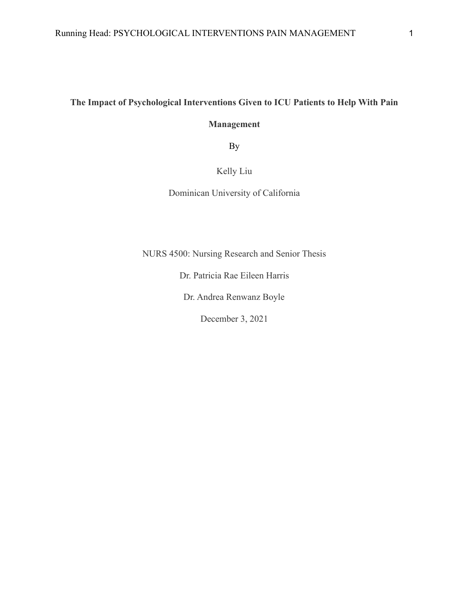# **The Impact of Psychological Interventions Given to ICU Patients to Help With Pain**

# **Management**

By

# Kelly Liu

Dominican University of California

NURS 4500: Nursing Research and Senior Thesis

Dr. Patricia Rae Eileen Harris

Dr. Andrea Renwanz Boyle

December 3, 2021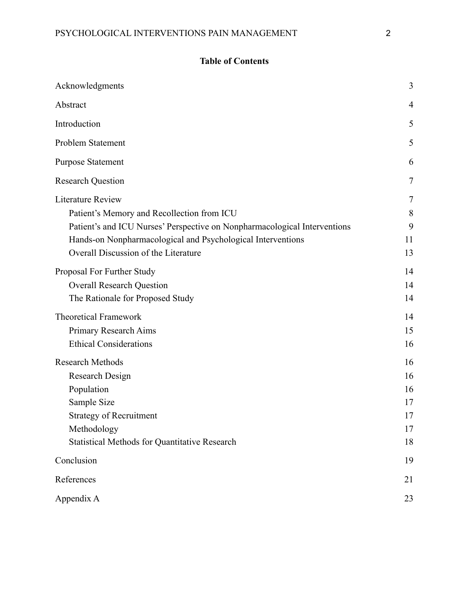# **Table of Contents**

| Acknowledgments                                                                                                                                                                                                                                            | 3                                      |
|------------------------------------------------------------------------------------------------------------------------------------------------------------------------------------------------------------------------------------------------------------|----------------------------------------|
| Abstract                                                                                                                                                                                                                                                   | 4                                      |
| Introduction                                                                                                                                                                                                                                               | 5                                      |
| Problem Statement                                                                                                                                                                                                                                          | 5                                      |
| <b>Purpose Statement</b>                                                                                                                                                                                                                                   | 6                                      |
| <b>Research Question</b>                                                                                                                                                                                                                                   | 7                                      |
| <b>Literature Review</b><br>Patient's Memory and Recollection from ICU<br>Patient's and ICU Nurses' Perspective on Nonpharmacological Interventions<br>Hands-on Nonpharmacological and Psychological Interventions<br>Overall Discussion of the Literature | 7<br>8<br>9<br>11<br>13                |
| Proposal For Further Study<br><b>Overall Research Question</b><br>The Rationale for Proposed Study                                                                                                                                                         | 14<br>14<br>14                         |
| <b>Theoretical Framework</b><br>Primary Research Aims<br><b>Ethical Considerations</b>                                                                                                                                                                     | 14<br>15<br>16                         |
| <b>Research Methods</b><br><b>Research Design</b><br>Population<br>Sample Size<br><b>Strategy of Recruitment</b><br>Methodology<br><b>Statistical Methods for Quantitative Research</b>                                                                    | 16<br>16<br>16<br>17<br>17<br>17<br>18 |
| Conclusion                                                                                                                                                                                                                                                 | 19                                     |
| References                                                                                                                                                                                                                                                 | 21                                     |
| Appendix A                                                                                                                                                                                                                                                 | 23                                     |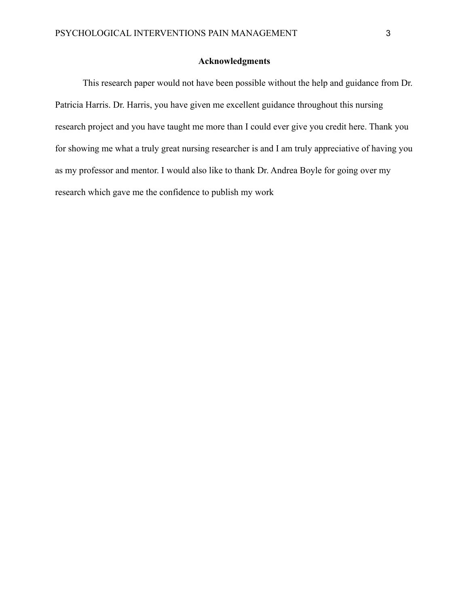### **Acknowledgments**

<span id="page-3-0"></span>This research paper would not have been possible without the help and guidance from Dr. Patricia Harris. Dr. Harris, you have given me excellent guidance throughout this nursing research project and you have taught me more than I could ever give you credit here. Thank you for showing me what a truly great nursing researcher is and I am truly appreciative of having you as my professor and mentor. I would also like to thank Dr. Andrea Boyle for going over my research which gave me the confidence to publish my work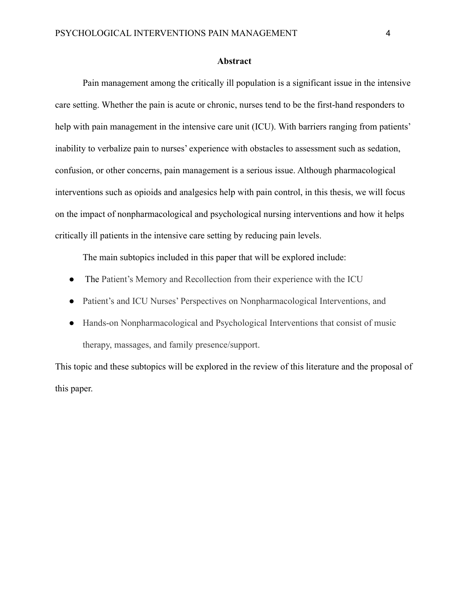#### **Abstract**

<span id="page-4-0"></span>Pain management among the critically ill population is a significant issue in the intensive care setting. Whether the pain is acute or chronic, nurses tend to be the first-hand responders to help with pain management in the intensive care unit (ICU). With barriers ranging from patients' inability to verbalize pain to nurses' experience with obstacles to assessment such as sedation, confusion, or other concerns, pain management is a serious issue. Although pharmacological interventions such as opioids and analgesics help with pain control, in this thesis, we will focus on the impact of nonpharmacological and psychological nursing interventions and how it helps critically ill patients in the intensive care setting by reducing pain levels.

The main subtopics included in this paper that will be explored include:

- The Patient's Memory and Recollection from their experience with the ICU
- Patient's and ICU Nurses' Perspectives on Nonpharmacological Interventions, and
- Hands-on Nonpharmacological and Psychological Interventions that consist of music therapy, massages, and family presence/support.

This topic and these subtopics will be explored in the review of this literature and the proposal of this paper.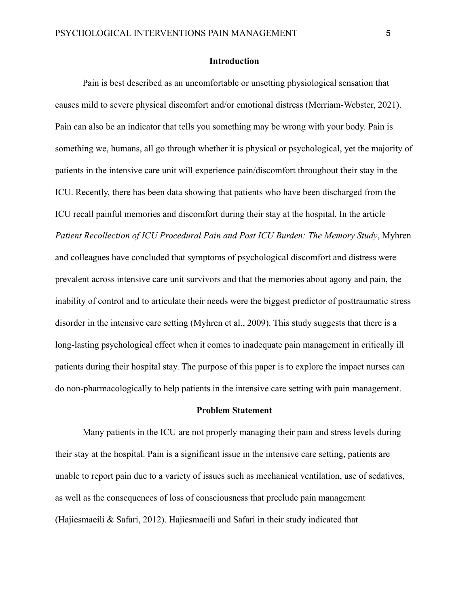### **Introduction**

<span id="page-5-0"></span>Pain is best described as an uncomfortable or unsetting physiological sensation that causes mild to severe physical discomfort and/or emotional distress (Merriam-Webster, 2021). Pain can also be an indicator that tells you something may be wrong with your body. Pain is something we, humans, all go through whether it is physical or psychological, yet the majority of patients in the intensive care unit will experience pain/discomfort throughout their stay in the ICU. Recently, there has been data showing that patients who have been discharged from the ICU recall painful memories and discomfort during their stay at the hospital. In the article *Patient Recollection of ICU Procedural Pain and Post ICU Burden: The Memory Study*, Myhren and colleagues have concluded that symptoms of psychological discomfort and distress were prevalent across intensive care unit survivors and that the memories about agony and pain, the inability of control and to articulate their needs were the biggest predictor of posttraumatic stress disorder in the intensive care setting (Myhren et al., 2009). This study suggests that there is a long-lasting psychological effect when it comes to inadequate pain management in critically ill patients during their hospital stay. The purpose of this paper is to explore the impact nurses can do non-pharmacologically to help patients in the intensive care setting with pain management.

### **Problem Statement**

<span id="page-5-1"></span>Many patients in the ICU are not properly managing their pain and stress levels during their stay at the hospital. Pain is a significant issue in the intensive care setting, patients are unable to report pain due to a variety of issues such as mechanical ventilation, use of sedatives, as well as the consequences of loss of consciousness that preclude pain management (Hajiesmaeili & Safari, 2012). Hajiesmaeili and Safari in their study indicated that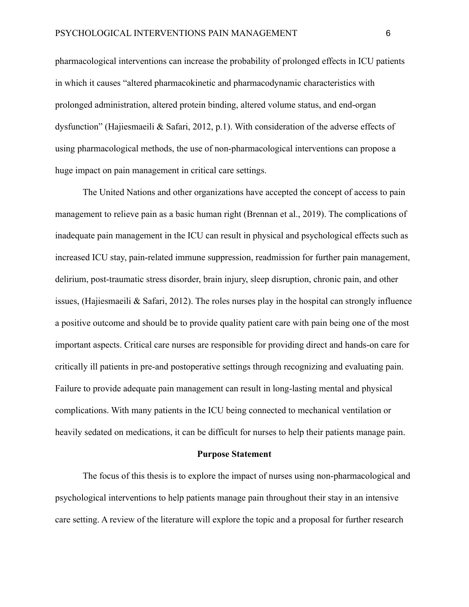pharmacological interventions can increase the probability of prolonged effects in ICU patients in which it causes "altered pharmacokinetic and pharmacodynamic characteristics with prolonged administration, altered protein binding, altered volume status, and end-organ dysfunction" (Hajiesmaeili & Safari, 2012, p.1). With consideration of the adverse effects of using pharmacological methods, the use of non-pharmacological interventions can propose a huge impact on pain management in critical care settings.

The United Nations and other organizations have accepted the concept of access to pain management to relieve pain as a basic human right (Brennan et al., 2019). The complications of inadequate pain management in the ICU can result in physical and psychological effects such as increased ICU stay, pain-related immune suppression, readmission for further pain management, delirium, post-traumatic stress disorder, brain injury, sleep disruption, chronic pain, and other issues, (Hajiesmaeili & Safari, 2012). The roles nurses play in the hospital can strongly influence a positive outcome and should be to provide quality patient care with pain being one of the most important aspects. Critical care nurses are responsible for providing direct and hands-on care for critically ill patients in pre-and postoperative settings through recognizing and evaluating pain. Failure to provide adequate pain management can result in long-lasting mental and physical complications. With many patients in the ICU being connected to mechanical ventilation or heavily sedated on medications, it can be difficult for nurses to help their patients manage pain.

#### **Purpose Statement**

<span id="page-6-0"></span>The focus of this thesis is to explore the impact of nurses using non-pharmacological and psychological interventions to help patients manage pain throughout their stay in an intensive care setting. A review of the literature will explore the topic and a proposal for further research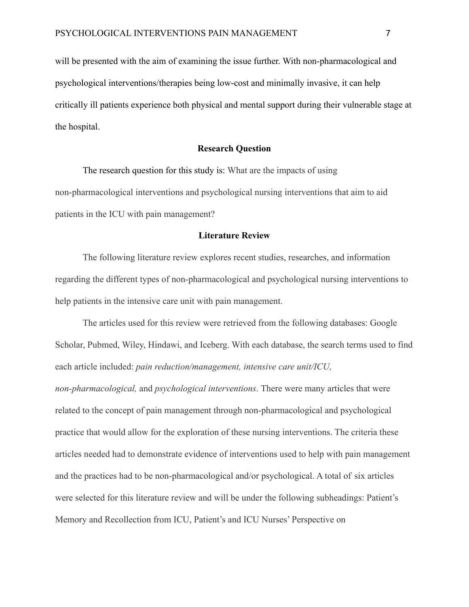will be presented with the aim of examining the issue further. With non-pharmacological and psychological interventions/therapies being low-cost and minimally invasive, it can help critically ill patients experience both physical and mental support during their vulnerable stage at the hospital.

#### **Research Question**

<span id="page-7-0"></span>The research question for this study is: What are the impacts of using non-pharmacological interventions and psychological nursing interventions that aim to aid patients in the ICU with pain management?

#### **Literature Review**

<span id="page-7-1"></span>The following literature review explores recent studies, researches, and information regarding the different types of non-pharmacological and psychological nursing interventions to help patients in the intensive care unit with pain management.

The articles used for this review were retrieved from the following databases: Google Scholar, Pubmed, Wiley, Hindawi, and Iceberg. With each database, the search terms used to find each article included: *pain reduction/management, intensive care unit/ICU, non-pharmacological,* and *psychological interventions*. There were many articles that were related to the concept of pain management through non-pharmacological and psychological practice that would allow for the exploration of these nursing interventions. The criteria these articles needed had to demonstrate evidence of interventions used to help with pain management and the practices had to be non-pharmacological and/or psychological. A total of six articles were selected for this literature review and will be under the following subheadings: Patient's Memory and Recollection from ICU, Patient's and ICU Nurses' Perspective on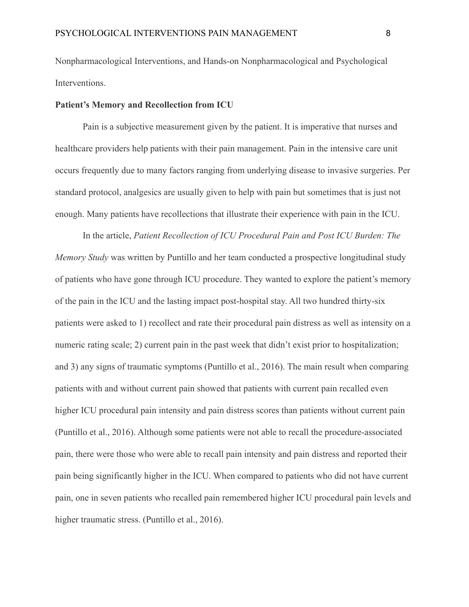Nonpharmacological Interventions, and Hands-on Nonpharmacological and Psychological Interventions.

#### <span id="page-8-0"></span>**Patient's Memory and Recollection from ICU**

Pain is a subjective measurement given by the patient. It is imperative that nurses and healthcare providers help patients with their pain management. Pain in the intensive care unit occurs frequently due to many factors ranging from underlying disease to invasive surgeries. Per standard protocol, analgesics are usually given to help with pain but sometimes that is just not enough. Many patients have recollections that illustrate their experience with pain in the ICU.

In the article, *Patient Recollection of ICU Procedural Pain and Post ICU Burden: The Memory Study* was written by Puntillo and her team conducted a prospective longitudinal study of patients who have gone through ICU procedure. They wanted to explore the patient's memory of the pain in the ICU and the lasting impact post-hospital stay. All two hundred thirty-six patients were asked to 1) recollect and rate their procedural pain distress as well as intensity on a numeric rating scale; 2) current pain in the past week that didn't exist prior to hospitalization; and 3) any signs of traumatic symptoms (Puntillo et al., 2016). The main result when comparing patients with and without current pain showed that patients with current pain recalled even higher ICU procedural pain intensity and pain distress scores than patients without current pain (Puntillo et al., 2016). Although some patients were not able to recall the procedure-associated pain, there were those who were able to recall pain intensity and pain distress and reported their pain being significantly higher in the ICU. When compared to patients who did not have current pain, one in seven patients who recalled pain remembered higher ICU procedural pain levels and higher traumatic stress. (Puntillo et al., 2016).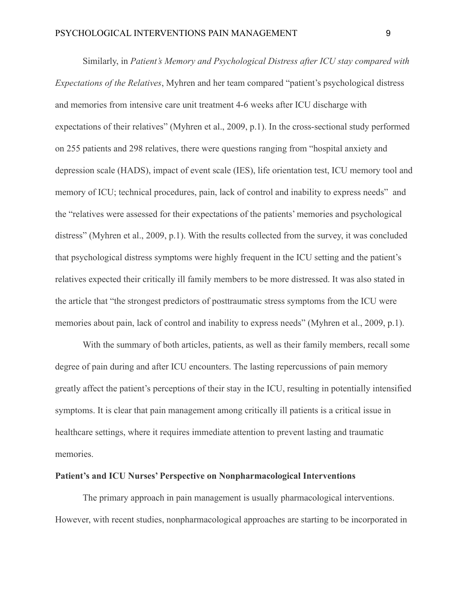Similarly, in *Patient's Memory and Psychological Distress after ICU stay compared with Expectations of the Relatives*, Myhren and her team compared "patient's psychological distress and memories from intensive care unit treatment 4-6 weeks after ICU discharge with expectations of their relatives" (Myhren et al., 2009, p.1). In the cross-sectional study performed on 255 patients and 298 relatives, there were questions ranging from "hospital anxiety and depression scale (HADS), impact of event scale (IES), life orientation test, ICU memory tool and memory of ICU; technical procedures, pain, lack of control and inability to express needs" and the "relatives were assessed for their expectations of the patients' memories and psychological distress" (Myhren et al., 2009, p.1). With the results collected from the survey, it was concluded that psychological distress symptoms were highly frequent in the ICU setting and the patient's relatives expected their critically ill family members to be more distressed. It was also stated in the article that "the strongest predictors of posttraumatic stress symptoms from the ICU were memories about pain, lack of control and inability to express needs" (Myhren et al., 2009, p.1).

With the summary of both articles, patients, as well as their family members, recall some degree of pain during and after ICU encounters. The lasting repercussions of pain memory greatly affect the patient's perceptions of their stay in the ICU, resulting in potentially intensified symptoms. It is clear that pain management among critically ill patients is a critical issue in healthcare settings, where it requires immediate attention to prevent lasting and traumatic memories.

#### <span id="page-9-0"></span>**Patient's and ICU Nurses' Perspective on Nonpharmacological Interventions**

The primary approach in pain management is usually pharmacological interventions. However, with recent studies, nonpharmacological approaches are starting to be incorporated in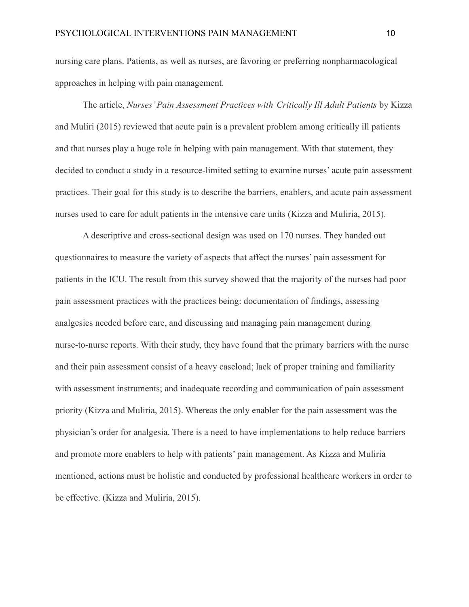nursing care plans. Patients, as well as nurses, are favoring or preferring nonpharmacological approaches in helping with pain management.

The article, *Nurses' Pain Assessment Practices with Critically Ill Adult Patients* by Kizza and Muliri (2015) reviewed that acute pain is a prevalent problem among critically ill patients and that nurses play a huge role in helping with pain management. With that statement, they decided to conduct a study in a resource-limited setting to examine nurses' acute pain assessment practices. Their goal for this study is to describe the barriers, enablers, and acute pain assessment nurses used to care for adult patients in the intensive care units (Kizza and Muliria, 2015).

A descriptive and cross-sectional design was used on 170 nurses. They handed out questionnaires to measure the variety of aspects that affect the nurses' pain assessment for patients in the ICU. The result from this survey showed that the majority of the nurses had poor pain assessment practices with the practices being: documentation of findings, assessing analgesics needed before care, and discussing and managing pain management during nurse-to-nurse reports. With their study, they have found that the primary barriers with the nurse and their pain assessment consist of a heavy caseload; lack of proper training and familiarity with assessment instruments; and inadequate recording and communication of pain assessment priority (Kizza and Muliria, 2015). Whereas the only enabler for the pain assessment was the physician's order for analgesia. There is a need to have implementations to help reduce barriers and promote more enablers to help with patients' pain management. As Kizza and Muliria mentioned, actions must be holistic and conducted by professional healthcare workers in order to be effective. (Kizza and Muliria, 2015).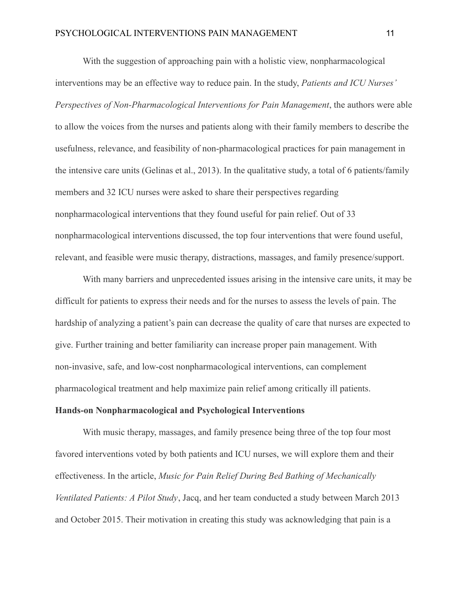With the suggestion of approaching pain with a holistic view, nonpharmacological interventions may be an effective way to reduce pain. In the study, *Patients and ICU Nurses' Perspectives of Non-Pharmacological Interventions for Pain Management*, the authors were able to allow the voices from the nurses and patients along with their family members to describe the usefulness, relevance, and feasibility of non-pharmacological practices for pain management in the intensive care units (Gelinas et al., 2013). In the qualitative study, a total of 6 patients/family members and 32 ICU nurses were asked to share their perspectives regarding nonpharmacological interventions that they found useful for pain relief. Out of 33 nonpharmacological interventions discussed, the top four interventions that were found useful, relevant, and feasible were music therapy, distractions, massages, and family presence/support.

With many barriers and unprecedented issues arising in the intensive care units, it may be difficult for patients to express their needs and for the nurses to assess the levels of pain. The hardship of analyzing a patient's pain can decrease the quality of care that nurses are expected to give. Further training and better familiarity can increase proper pain management. With non-invasive, safe, and low-cost nonpharmacological interventions, can complement pharmacological treatment and help maximize pain relief among critically ill patients.

# <span id="page-11-0"></span>**Hands-on Nonpharmacological and Psychological Interventions**

With music therapy, massages, and family presence being three of the top four most favored interventions voted by both patients and ICU nurses, we will explore them and their effectiveness. In the article, *Music for Pain Relief During Bed Bathing of Mechanically Ventilated Patients: A Pilot Study*, Jacq, and her team conducted a study between March 2013 and October 2015. Their motivation in creating this study was acknowledging that pain is a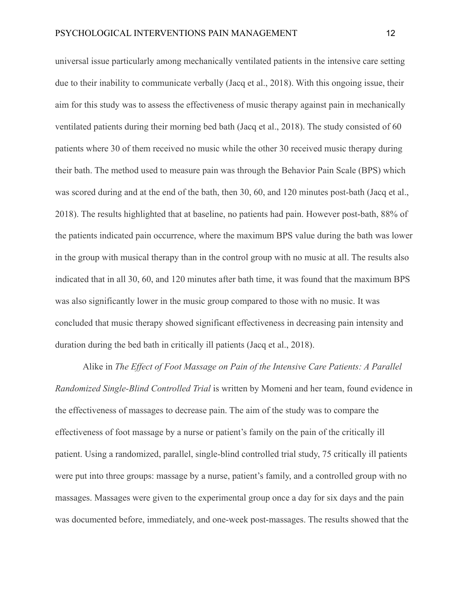universal issue particularly among mechanically ventilated patients in the intensive care setting due to their inability to communicate verbally (Jacq et al., 2018). With this ongoing issue, their aim for this study was to assess the effectiveness of music therapy against pain in mechanically ventilated patients during their morning bed bath (Jacq et al., 2018). The study consisted of 60 patients where 30 of them received no music while the other 30 received music therapy during their bath. The method used to measure pain was through the Behavior Pain Scale (BPS) which was scored during and at the end of the bath, then 30, 60, and 120 minutes post-bath (Jacq et al., 2018). The results highlighted that at baseline, no patients had pain. However post-bath, 88% of the patients indicated pain occurrence, where the maximum BPS value during the bath was lower in the group with musical therapy than in the control group with no music at all. The results also indicated that in all 30, 60, and 120 minutes after bath time, it was found that the maximum BPS was also significantly lower in the music group compared to those with no music. It was concluded that music therapy showed significant effectiveness in decreasing pain intensity and duration during the bed bath in critically ill patients (Jacq et al., 2018).

Alike in *The Effect of Foot Massage on Pain of the Intensive Care Patients: A Parallel Randomized Single-Blind Controlled Trial* is written by Momeni and her team, found evidence in the effectiveness of massages to decrease pain. The aim of the study was to compare the effectiveness of foot massage by a nurse or patient's family on the pain of the critically ill patient. Using a randomized, parallel, single-blind controlled trial study, 75 critically ill patients were put into three groups: massage by a nurse, patient's family, and a controlled group with no massages. Massages were given to the experimental group once a day for six days and the pain was documented before, immediately, and one-week post-massages. The results showed that the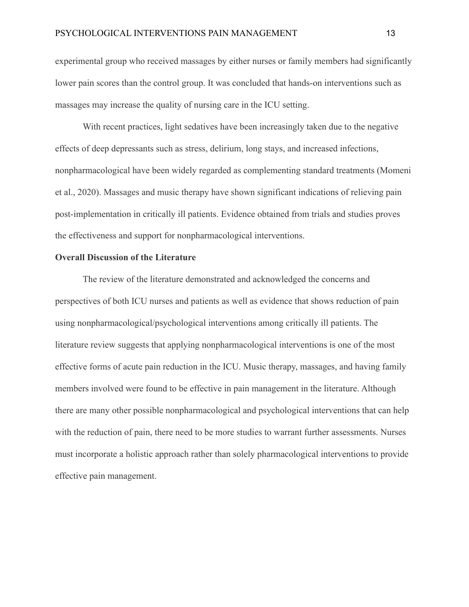experimental group who received massages by either nurses or family members had significantly lower pain scores than the control group. It was concluded that hands-on interventions such as massages may increase the quality of nursing care in the ICU setting.

With recent practices, light sedatives have been increasingly taken due to the negative effects of deep depressants such as stress, delirium, long stays, and increased infections, nonpharmacological have been widely regarded as complementing standard treatments (Momeni et al., 2020). Massages and music therapy have shown significant indications of relieving pain post-implementation in critically ill patients. Evidence obtained from trials and studies proves the effectiveness and support for nonpharmacological interventions.

### <span id="page-13-0"></span>**Overall Discussion of the Literature**

The review of the literature demonstrated and acknowledged the concerns and perspectives of both ICU nurses and patients as well as evidence that shows reduction of pain using nonpharmacological/psychological interventions among critically ill patients. The literature review suggests that applying nonpharmacological interventions is one of the most effective forms of acute pain reduction in the ICU. Music therapy, massages, and having family members involved were found to be effective in pain management in the literature. Although there are many other possible nonpharmacological and psychological interventions that can help with the reduction of pain, there need to be more studies to warrant further assessments. Nurses must incorporate a holistic approach rather than solely pharmacological interventions to provide effective pain management.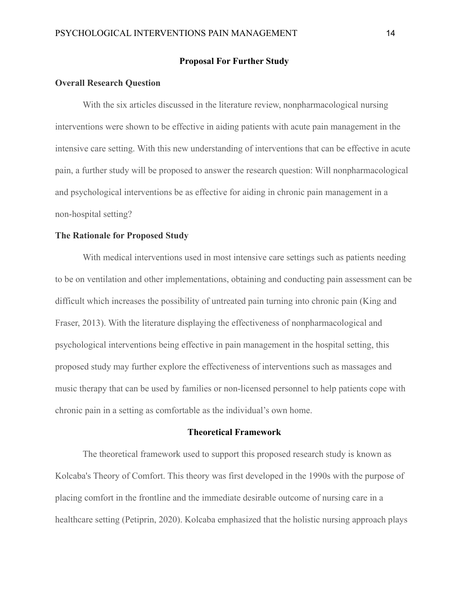#### **Proposal For Further Study**

#### <span id="page-14-1"></span><span id="page-14-0"></span>**Overall Research Question**

With the six articles discussed in the literature review, nonpharmacological nursing interventions were shown to be effective in aiding patients with acute pain management in the intensive care setting. With this new understanding of interventions that can be effective in acute pain, a further study will be proposed to answer the research question: Will nonpharmacological and psychological interventions be as effective for aiding in chronic pain management in a non-hospital setting?

#### <span id="page-14-2"></span>**The Rationale for Proposed Study**

With medical interventions used in most intensive care settings such as patients needing to be on ventilation and other implementations, obtaining and conducting pain assessment can be difficult which increases the possibility of untreated pain turning into chronic pain (King and Fraser, 2013). With the literature displaying the effectiveness of nonpharmacological and psychological interventions being effective in pain management in the hospital setting, this proposed study may further explore the effectiveness of interventions such as massages and music therapy that can be used by families or non-licensed personnel to help patients cope with chronic pain in a setting as comfortable as the individual's own home.

# **Theoretical Framework**

<span id="page-14-3"></span>The theoretical framework used to support this proposed research study is known as Kolcaba's Theory of Comfort. This theory was first developed in the 1990s with the purpose of placing comfort in the frontline and the immediate desirable outcome of nursing care in a healthcare setting (Petiprin, 2020). Kolcaba emphasized that the holistic nursing approach plays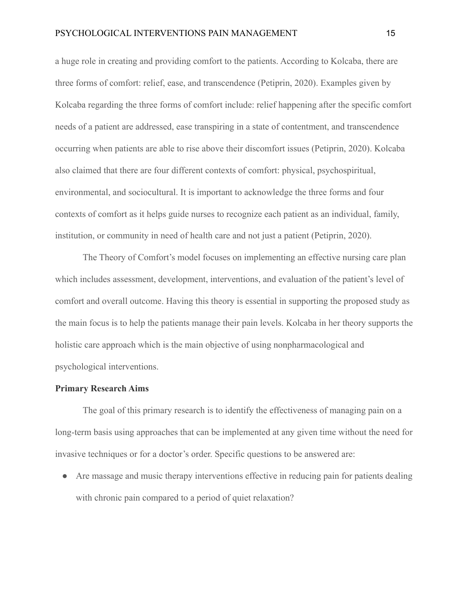a huge role in creating and providing comfort to the patients. According to Kolcaba, there are three forms of comfort: relief, ease, and transcendence (Petiprin, 2020). Examples given by Kolcaba regarding the three forms of comfort include: relief happening after the specific comfort needs of a patient are addressed, ease transpiring in a state of contentment, and transcendence occurring when patients are able to rise above their discomfort issues (Petiprin, 2020). Kolcaba also claimed that there are four different contexts of comfort: physical, psychospiritual, environmental, and sociocultural. It is important to acknowledge the three forms and four contexts of comfort as it helps guide nurses to recognize each patient as an individual, family, institution, or community in need of health care and not just a patient (Petiprin, 2020).

The Theory of Comfort's model focuses on implementing an effective nursing care plan which includes assessment, development, interventions, and evaluation of the patient's level of comfort and overall outcome. Having this theory is essential in supporting the proposed study as the main focus is to help the patients manage their pain levels. Kolcaba in her theory supports the holistic care approach which is the main objective of using nonpharmacological and psychological interventions.

### <span id="page-15-0"></span>**Primary Research Aims**

The goal of this primary research is to identify the effectiveness of managing pain on a long-term basis using approaches that can be implemented at any given time without the need for invasive techniques or for a doctor's order. Specific questions to be answered are:

• Are massage and music therapy interventions effective in reducing pain for patients dealing with chronic pain compared to a period of quiet relaxation?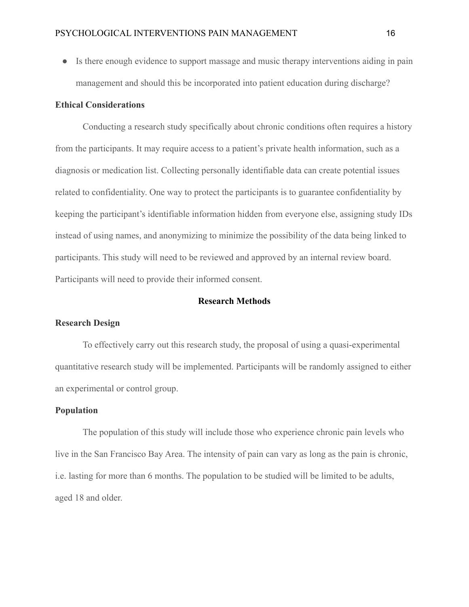● Is there enough evidence to support massage and music therapy interventions aiding in pain management and should this be incorporated into patient education during discharge?

#### <span id="page-16-0"></span>**Ethical Considerations**

Conducting a research study specifically about chronic conditions often requires a history from the participants. It may require access to a patient's private health information, such as a diagnosis or medication list. Collecting personally identifiable data can create potential issues related to confidentiality. One way to protect the participants is to guarantee confidentiality by keeping the participant's identifiable information hidden from everyone else, assigning study IDs instead of using names, and anonymizing to minimize the possibility of the data being linked to participants. This study will need to be reviewed and approved by an internal review board. Participants will need to provide their informed consent.

#### **Research Methods**

#### <span id="page-16-2"></span><span id="page-16-1"></span>**Research Design**

To effectively carry out this research study, the proposal of using a quasi-experimental quantitative research study will be implemented. Participants will be randomly assigned to either an experimental or control group.

## <span id="page-16-3"></span>**Population**

The population of this study will include those who experience chronic pain levels who live in the San Francisco Bay Area. The intensity of pain can vary as long as the pain is chronic, i.e. lasting for more than 6 months. The population to be studied will be limited to be adults, aged 18 and older.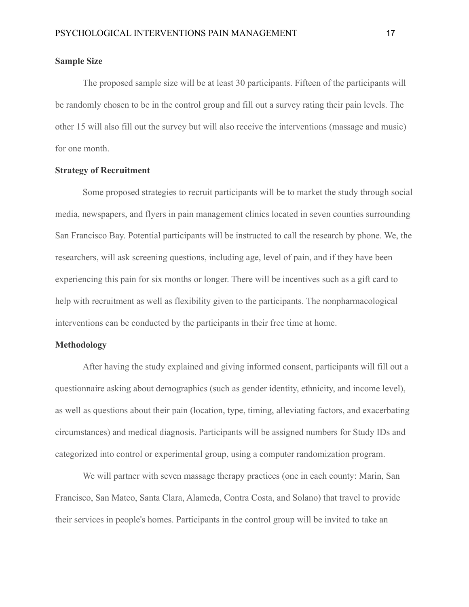#### <span id="page-17-0"></span>**Sample Size**

The proposed sample size will be at least 30 participants. Fifteen of the participants will be randomly chosen to be in the control group and fill out a survey rating their pain levels. The other 15 will also fill out the survey but will also receive the interventions (massage and music) for one month.

#### <span id="page-17-1"></span>**Strategy of Recruitment**

Some proposed strategies to recruit participants will be to market the study through social media, newspapers, and flyers in pain management clinics located in seven counties surrounding San Francisco Bay. Potential participants will be instructed to call the research by phone. We, the researchers, will ask screening questions, including age, level of pain, and if they have been experiencing this pain for six months or longer. There will be incentives such as a gift card to help with recruitment as well as flexibility given to the participants. The nonpharmacological interventions can be conducted by the participants in their free time at home.

#### <span id="page-17-2"></span>**Methodology**

After having the study explained and giving informed consent, participants will fill out a questionnaire asking about demographics (such as gender identity, ethnicity, and income level), as well as questions about their pain (location, type, timing, alleviating factors, and exacerbating circumstances) and medical diagnosis. Participants will be assigned numbers for Study IDs and categorized into control or experimental group, using a computer randomization program.

We will partner with seven massage therapy practices (one in each county: Marin, San Francisco, San Mateo, Santa Clara, Alameda, Contra Costa, and Solano) that travel to provide their services in people's homes. Participants in the control group will be invited to take an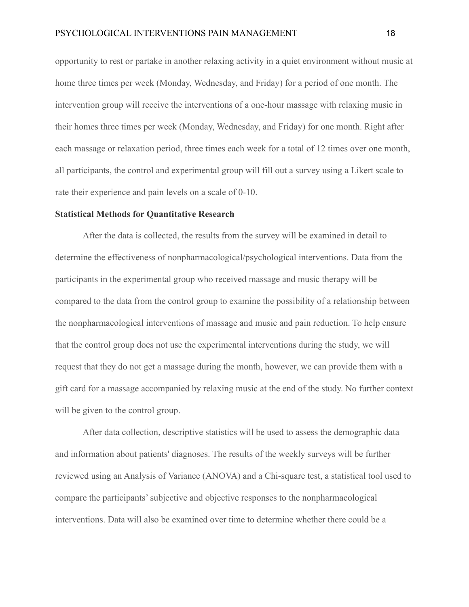opportunity to rest or partake in another relaxing activity in a quiet environment without music at home three times per week (Monday, Wednesday, and Friday) for a period of one month. The intervention group will receive the interventions of a one-hour massage with relaxing music in their homes three times per week (Monday, Wednesday, and Friday) for one month. Right after each massage or relaxation period, three times each week for a total of 12 times over one month, all participants, the control and experimental group will fill out a survey using a Likert scale to rate their experience and pain levels on a scale of 0-10.

#### <span id="page-18-0"></span>**Statistical Methods for Quantitative Research**

After the data is collected, the results from the survey will be examined in detail to determine the effectiveness of nonpharmacological/psychological interventions. Data from the participants in the experimental group who received massage and music therapy will be compared to the data from the control group to examine the possibility of a relationship between the nonpharmacological interventions of massage and music and pain reduction. To help ensure that the control group does not use the experimental interventions during the study, we will request that they do not get a massage during the month, however, we can provide them with a gift card for a massage accompanied by relaxing music at the end of the study. No further context will be given to the control group.

After data collection, descriptive statistics will be used to assess the demographic data and information about patients' diagnoses. The results of the weekly surveys will be further reviewed using an Analysis of Variance (ANOVA) and a Chi-square test, a statistical tool used to compare the participants' subjective and objective responses to the nonpharmacological interventions. Data will also be examined over time to determine whether there could be a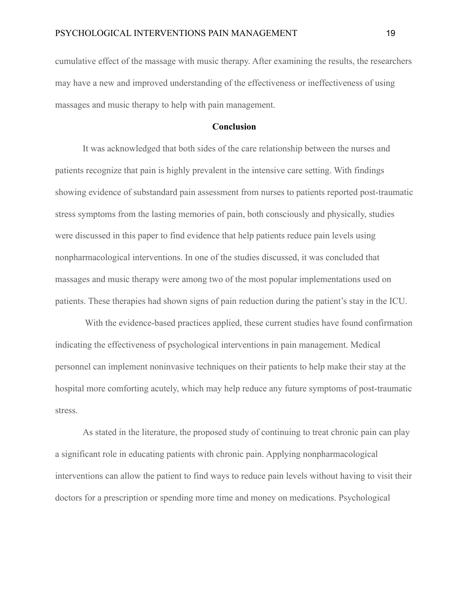cumulative effect of the massage with music therapy. After examining the results, the researchers may have a new and improved understanding of the effectiveness or ineffectiveness of using massages and music therapy to help with pain management.

### **Conclusion**

<span id="page-19-0"></span>It was acknowledged that both sides of the care relationship between the nurses and patients recognize that pain is highly prevalent in the intensive care setting. With findings showing evidence of substandard pain assessment from nurses to patients reported post-traumatic stress symptoms from the lasting memories of pain, both consciously and physically, studies were discussed in this paper to find evidence that help patients reduce pain levels using nonpharmacological interventions. In one of the studies discussed, it was concluded that massages and music therapy were among two of the most popular implementations used on patients. These therapies had shown signs of pain reduction during the patient's stay in the ICU.

With the evidence-based practices applied, these current studies have found confirmation indicating the effectiveness of psychological interventions in pain management. Medical personnel can implement noninvasive techniques on their patients to help make their stay at the hospital more comforting acutely, which may help reduce any future symptoms of post-traumatic stress.

As stated in the literature, the proposed study of continuing to treat chronic pain can play a significant role in educating patients with chronic pain. Applying nonpharmacological interventions can allow the patient to find ways to reduce pain levels without having to visit their doctors for a prescription or spending more time and money on medications. Psychological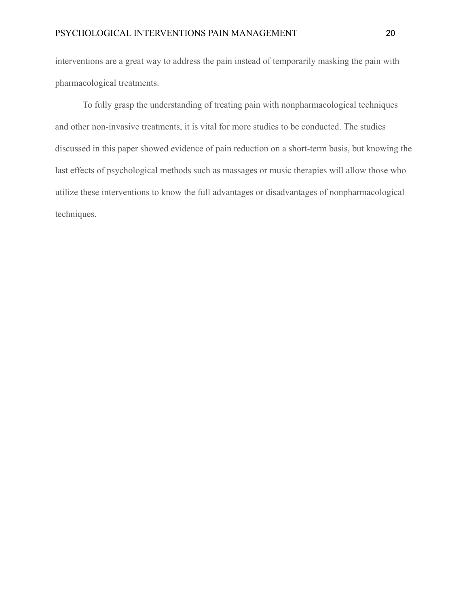interventions are a great way to address the pain instead of temporarily masking the pain with pharmacological treatments.

To fully grasp the understanding of treating pain with nonpharmacological techniques and other non-invasive treatments, it is vital for more studies to be conducted. The studies discussed in this paper showed evidence of pain reduction on a short-term basis, but knowing the last effects of psychological methods such as massages or music therapies will allow those who utilize these interventions to know the full advantages or disadvantages of nonpharmacological techniques.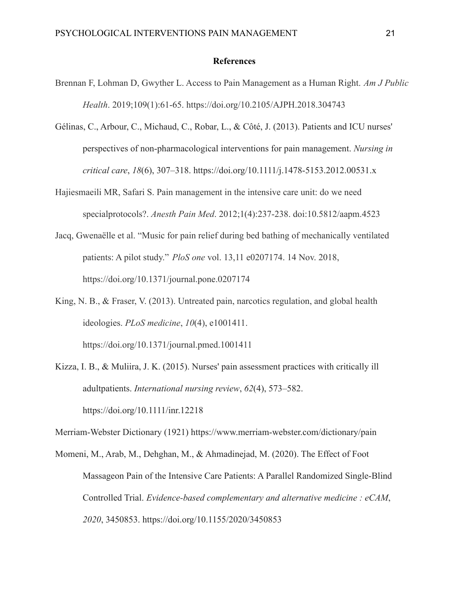#### **References**

- <span id="page-21-0"></span>Brennan F, Lohman D, Gwyther L. Access to Pain Management as a Human Right. *Am J Public Health*. 2019;109(1):61-65. https://doi.org/10.2105/AJPH.2018.304743
- Gélinas, C., Arbour, C., Michaud, C., Robar, L., & Côté, J. (2013). Patients and ICU nurses' perspectives of non-pharmacological interventions for pain management. *Nursing in critical care*, *18*(6), 307–318. https://doi.org/10.1111/j.1478-5153.2012.00531.x
- Hajiesmaeili MR, Safari S. Pain management in the intensive care unit: do we need specialprotocols?. *Anesth Pain Med*. 2012;1(4):237-238. doi:10.5812/aapm.4523
- Jacq, Gwenaëlle et al. "Music for pain relief during bed bathing of mechanically ventilated patients: A pilot study." *PloS one* vol. 13,11 e0207174. 14 Nov. 2018, https://doi.org/10.1371/journal.pone.0207174
- King, N. B., & Fraser, V. (2013). Untreated pain, narcotics regulation, and global health ideologies. *PLoS medicine*, *10*(4), e1001411.

https://doi.org/10.1371/journal.pmed.1001411

Kizza, I. B., & Muliira, J. K. (2015). Nurses' pain assessment practices with critically ill adultpatients. *International nursing review*, *62*(4), 573–582. https://doi.org/10.1111/inr.12218

Merriam-Webster Dictionary (1921) https://www.merriam-webster.com/dictionary/pain

Momeni, M., Arab, M., Dehghan, M., & Ahmadinejad, M. (2020). The Effect of Foot Massageon Pain of the Intensive Care Patients: A Parallel Randomized Single-Blind Controlled Trial. *Evidence-based complementary and alternative medicine : eCAM*, *2020*, 3450853. https://doi.org/10.1155/2020/3450853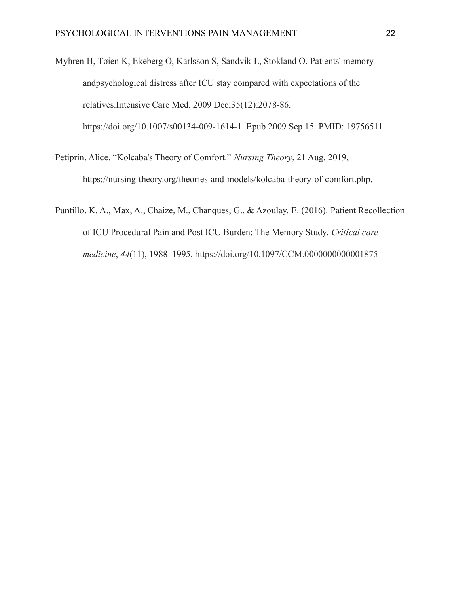Myhren H, Tøien K, Ekeberg O, Karlsson S, Sandvik L, Stokland O. Patients' memory andpsychological distress after ICU stay compared with expectations of the relatives.Intensive Care Med. 2009 Dec;35(12):2078-86. https://doi.org/10.1007/s00134-009-1614-1. Epub 2009 Sep 15. PMID: 19756511.

Petiprin, Alice. "Kolcaba's Theory of Comfort." *Nursing Theory*, 21 Aug. 2019, https://nursing-theory.org/theories-and-models/kolcaba-theory-of-comfort.php.

Puntillo, K. A., Max, A., Chaize, M., Chanques, G., & Azoulay, E. (2016). Patient Recollection of ICU Procedural Pain and Post ICU Burden: The Memory Study. *Critical care medicine*, *44*(11), 1988–1995. <https://doi.org/10.1097/CCM.0000000000001875>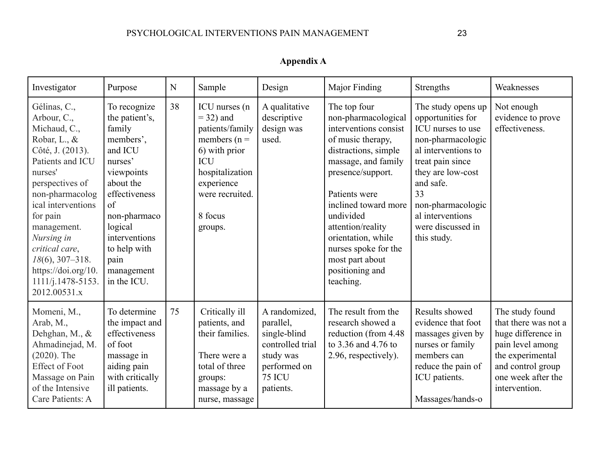| Appendix A |
|------------|
|------------|

<span id="page-23-0"></span>

| Investigator                                                                                                                                                                                                                                                                                                              | Purpose                                                                                                                                                                                                                        | N  | Sample                                                                                                                                                                      | Design                                                                                                                    | Major Finding                                                                                                                                                                                                                                                                                                                     | Strengths                                                                                                                                                                                                                                         | Weaknesses                                                                                                                                                        |
|---------------------------------------------------------------------------------------------------------------------------------------------------------------------------------------------------------------------------------------------------------------------------------------------------------------------------|--------------------------------------------------------------------------------------------------------------------------------------------------------------------------------------------------------------------------------|----|-----------------------------------------------------------------------------------------------------------------------------------------------------------------------------|---------------------------------------------------------------------------------------------------------------------------|-----------------------------------------------------------------------------------------------------------------------------------------------------------------------------------------------------------------------------------------------------------------------------------------------------------------------------------|---------------------------------------------------------------------------------------------------------------------------------------------------------------------------------------------------------------------------------------------------|-------------------------------------------------------------------------------------------------------------------------------------------------------------------|
| Gélinas, C.,<br>Arbour, C.,<br>Michaud, C.,<br>Robar, L., &<br>Côté, J. (2013).<br>Patients and ICU<br>nurses'<br>perspectives of<br>non-pharmacolog<br>ical interventions<br>for pain<br>management.<br>Nursing in<br>critical care,<br>$18(6)$ , 307-318.<br>https://doi.org/10.<br>$1111/j.1478-5153.$<br>2012.00531.x | To recognize<br>the patient's,<br>family<br>members',<br>and ICU<br>nurses'<br>viewpoints<br>about the<br>effectiveness<br>of<br>non-pharmaco<br>logical<br>interventions<br>to help with<br>pain<br>management<br>in the ICU. | 38 | ICU nurses (n<br>$=$ 32) and<br>patients/family<br>members ( $n =$<br>6) with prior<br><b>ICU</b><br>hospitalization<br>experience<br>were recruited.<br>8 focus<br>groups. | A qualitative<br>descriptive<br>design was<br>used.                                                                       | The top four<br>non-pharmacological<br>interventions consist<br>of music therapy,<br>distractions, simple<br>massage, and family<br>presence/support.<br>Patients were<br>inclined toward more<br>undivided<br>attention/reality<br>orientation, while<br>nurses spoke for the<br>most part about<br>positioning and<br>teaching. | The study opens up<br>opportunities for<br>ICU nurses to use<br>non-pharmacologic<br>al interventions to<br>treat pain since<br>they are low-cost<br>and safe.<br>33<br>non-pharmacologic<br>al interventions<br>were discussed in<br>this study. | Not enough<br>evidence to prove<br>effectiveness.                                                                                                                 |
| Momeni, M.,<br>Arab, M.,<br>Dehghan, M., &<br>Ahmadinejad, M.<br>$(2020)$ . The<br><b>Effect of Foot</b><br>Massage on Pain<br>of the Intensive<br>Care Patients: A                                                                                                                                                       | To determine<br>the impact and<br>effectiveness<br>of foot<br>massage in<br>aiding pain<br>with critically<br>ill patients.                                                                                                    | 75 | Critically ill<br>patients, and<br>their families.<br>There were a<br>total of three<br>groups:<br>massage by a<br>nurse, massage                                           | A randomized,<br>parallel,<br>single-blind<br>controlled trial<br>study was<br>performed on<br><b>75 ICU</b><br>patients. | The result from the<br>research showed a<br>reduction (from 4.48)<br>to 3.36 and 4.76 to<br>2.96, respectively).                                                                                                                                                                                                                  | Results showed<br>evidence that foot<br>massages given by<br>nurses or family<br>members can<br>reduce the pain of<br>ICU patients.<br>Massages/hands-o                                                                                           | The study found<br>that there was not a<br>huge difference in<br>pain level among<br>the experimental<br>and control group<br>one week after the<br>intervention. |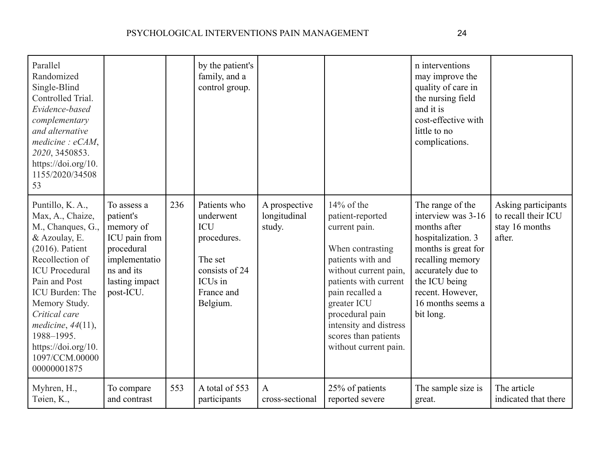| Parallel<br>Randomized<br>Single-Blind<br>Controlled Trial.<br>Evidence-based<br>complementary<br>and alternative<br>mediate: eCAM,<br>2020, 3450853.<br>https://doi.org/10.<br>1155/2020/34508<br>53                                                                                                            |                                                                                                                                    |     | by the patient's<br>family, and a<br>control group.                                                                                  |                                         |                                                                                                                                                                                                                                                                               | n interventions<br>may improve the<br>quality of care in<br>the nursing field<br>and it is<br>cost-effective with<br>little to no<br>complications.                                                                 |                                                                        |
|------------------------------------------------------------------------------------------------------------------------------------------------------------------------------------------------------------------------------------------------------------------------------------------------------------------|------------------------------------------------------------------------------------------------------------------------------------|-----|--------------------------------------------------------------------------------------------------------------------------------------|-----------------------------------------|-------------------------------------------------------------------------------------------------------------------------------------------------------------------------------------------------------------------------------------------------------------------------------|---------------------------------------------------------------------------------------------------------------------------------------------------------------------------------------------------------------------|------------------------------------------------------------------------|
| Puntillo, K. A.,<br>Max, A., Chaize,<br>M., Chanques, G.,<br>& Azoulay, E.<br>$(2016)$ . Patient<br>Recollection of<br><b>ICU</b> Procedural<br>Pain and Post<br>ICU Burden: The<br>Memory Study.<br>Critical care<br>medicine, $44(11)$ ,<br>1988-1995.<br>https://doi.org/10.<br>1097/CCM.00000<br>00000001875 | To assess a<br>patient's<br>memory of<br>ICU pain from<br>procedural<br>implementatio<br>ns and its<br>lasting impact<br>post-ICU. | 236 | Patients who<br>underwent<br><b>ICU</b><br>procedures.<br>The set<br>consists of 24<br>ICU <sub>s</sub> in<br>France and<br>Belgium. | A prospective<br>longitudinal<br>study. | $14\%$ of the<br>patient-reported<br>current pain.<br>When contrasting<br>patients with and<br>without current pain,<br>patients with current<br>pain recalled a<br>greater ICU<br>procedural pain<br>intensity and distress<br>scores than patients<br>without current pain. | The range of the<br>interview was 3-16<br>months after<br>hospitalization. 3<br>months is great for<br>recalling memory<br>accurately due to<br>the ICU being<br>recent. However,<br>16 months seems a<br>bit long. | Asking participants<br>to recall their ICU<br>stay 16 months<br>after. |
| Myhren, H.,<br>Tøien, K.,                                                                                                                                                                                                                                                                                        | To compare<br>and contrast                                                                                                         | 553 | A total of 553<br>participants                                                                                                       | $\mathbf{A}$<br>cross-sectional         | 25% of patients<br>reported severe                                                                                                                                                                                                                                            | The sample size is<br>great.                                                                                                                                                                                        | The article<br>indicated that there                                    |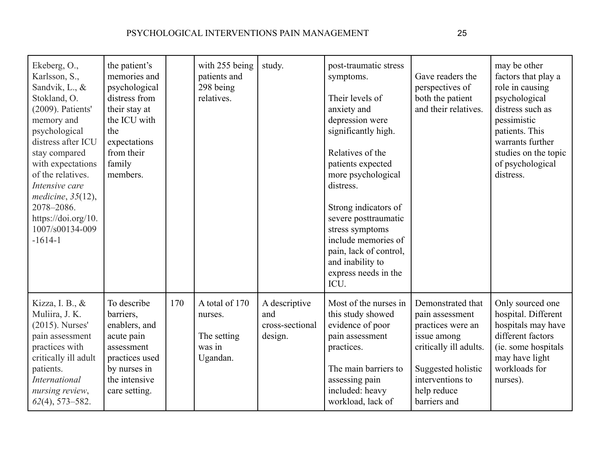| Ekeberg, O.,<br>Karlsson, S.,<br>Sandvik, L., &<br>Stokland, O.<br>(2009). Patients'<br>memory and<br>psychological<br>distress after ICU<br>stay compared<br>with expectations<br>of the relatives.<br>Intensive care<br>medicine, $35(12)$ ,<br>2078-2086.<br>https://doi.org/10.<br>1007/s00134-009<br>$-1614-1$ | the patient's<br>memories and<br>psychological<br>distress from<br>their stay at<br>the ICU with<br>the<br>expectations<br>from their<br>family<br>members. |     | with 255 being<br>patients and<br>298 being<br>relatives.      | study.                                             | post-traumatic stress<br>symptoms.<br>Their levels of<br>anxiety and<br>depression were<br>significantly high.<br>Relatives of the<br>patients expected<br>more psychological<br>distress.<br>Strong indicators of<br>severe posttraumatic<br>stress symptoms<br>include memories of<br>pain, lack of control,<br>and inability to<br>express needs in the<br>ICU. | Gave readers the<br>perspectives of<br>both the patient<br>and their relatives.                                                                                             | may be other<br>factors that play a<br>role in causing<br>psychological<br>distress such as<br>pessimistic<br>patients. This<br>warrants further<br>studies on the topic<br>of psychological<br>distress. |
|---------------------------------------------------------------------------------------------------------------------------------------------------------------------------------------------------------------------------------------------------------------------------------------------------------------------|-------------------------------------------------------------------------------------------------------------------------------------------------------------|-----|----------------------------------------------------------------|----------------------------------------------------|--------------------------------------------------------------------------------------------------------------------------------------------------------------------------------------------------------------------------------------------------------------------------------------------------------------------------------------------------------------------|-----------------------------------------------------------------------------------------------------------------------------------------------------------------------------|-----------------------------------------------------------------------------------------------------------------------------------------------------------------------------------------------------------|
| Kizza, I. B., &<br>Muliira, J. K.<br>$(2015)$ . Nurses'<br>pain assessment<br>practices with<br>critically ill adult<br>patients.<br><b>International</b><br>nursing review,<br>$62(4)$ , 573-582.                                                                                                                  | To describe<br>barriers,<br>enablers, and<br>acute pain<br>assessment<br>practices used<br>by nurses in<br>the intensive<br>care setting.                   | 170 | A total of 170<br>nurses.<br>The setting<br>was in<br>Ugandan. | A descriptive<br>and<br>cross-sectional<br>design. | Most of the nurses in<br>this study showed<br>evidence of poor<br>pain assessment<br>practices.<br>The main barriers to<br>assessing pain<br>included: heavy<br>workload, lack of                                                                                                                                                                                  | Demonstrated that<br>pain assessment<br>practices were an<br>issue among<br>critically ill adults.<br>Suggested holistic<br>interventions to<br>help reduce<br>barriers and | Only sourced one<br>hospital. Different<br>hospitals may have<br>different factors<br>(ie. some hospitals<br>may have light<br>workloads for<br>nurses).                                                  |